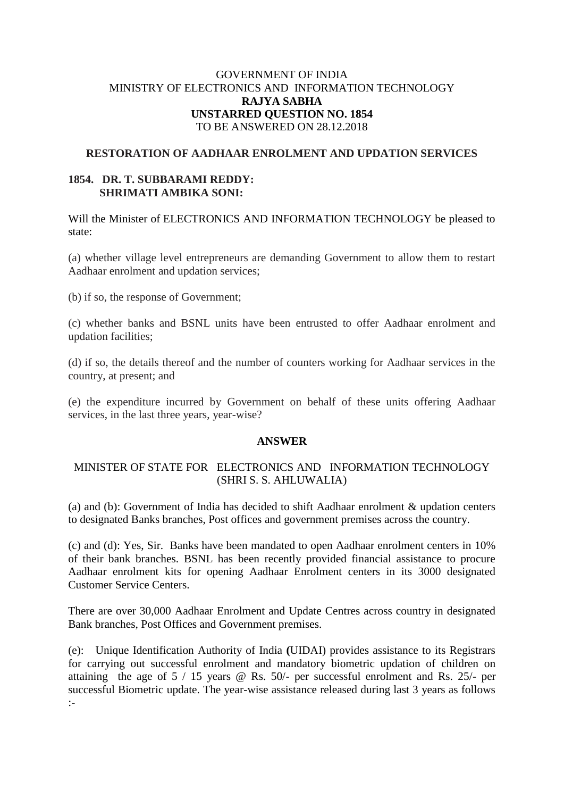# GOVERNMENT OF INDIA MINISTRY OF ELECTRONICS AND INFORMATION TECHNOLOGY **RAJYA SABHA UNSTARRED QUESTION NO. 1854** TO BE ANSWERED ON 28.12.2018

### **RESTORATION OF AADHAAR ENROLMENT AND UPDATION SERVICES**

## **1854. DR. T. SUBBARAMI REDDY: SHRIMATI AMBIKA SONI:**

Will the Minister of ELECTRONICS AND INFORMATION TECHNOLOGY be pleased to state:

(a) whether village level entrepreneurs are demanding Government to allow them to restart Aadhaar enrolment and updation services;

(b) if so, the response of Government;

(c) whether banks and BSNL units have been entrusted to offer Aadhaar enrolment and updation facilities;

(d) if so, the details thereof and the number of counters working for Aadhaar services in the country, at present; and

(e) the expenditure incurred by Government on behalf of these units offering Aadhaar services, in the last three years, year-wise?

#### **ANSWER**

# MINISTER OF STATE FOR ELECTRONICS AND INFORMATION TECHNOLOGY (SHRI S. S. AHLUWALIA)

(a) and (b): Government of India has decided to shift Aadhaar enrolment & updation centers to designated Banks branches, Post offices and government premises across the country.

(c) and (d): Yes, Sir. Banks have been mandated to open Aadhaar enrolment centers in 10% of their bank branches. BSNL has been recently provided financial assistance to procure Aadhaar enrolment kits for opening Aadhaar Enrolment centers in its 3000 designated Customer Service Centers.

There are over 30,000 Aadhaar Enrolment and Update Centres across country in designated Bank branches, Post Offices and Government premises.

(e):Unique Identification Authority of India **(**UIDAI) provides assistance to its Registrars for carrying out successful enrolment and mandatory biometric updation of children on attaining the age of 5 / 15 years @ Rs. 50/- per successful enrolment and Rs. 25/- per successful Biometric update. The year-wise assistance released during last 3 years as follows :-